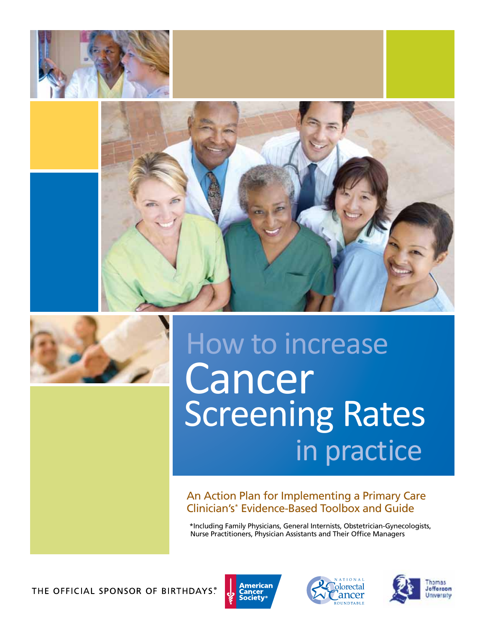





# How to increase Cancer Screening Rates in practice

An Action Plan for Implementing a Primary Care Clinician's\* Evidence-Based Toolbox and Guide

\*Including Family Physicians, General Internists, Obstetrician-Gynecologists, Nurse Practitioners, Physician Assistants and Their Office Managers

THE OFFICIAL SPONSOR OF BIRTHDAYS.





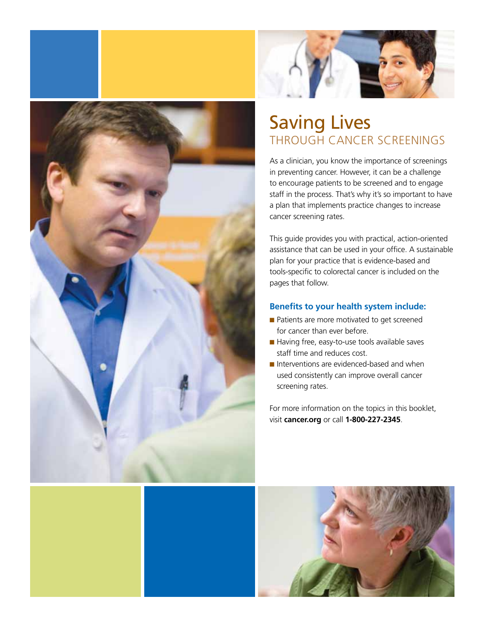



# Saving Lives through Cancer Screenings

As a clinician, you know the importance of screenings in preventing cancer. However, it can be a challenge to encourage patients to be screened and to engage staff in the process. That's why it's so important to have a plan that implements practice changes to increase cancer screening rates.

This guide provides you with practical, action-oriented assistance that can be used in your office. A sustainable plan for your practice that is evidence-based and tools-specific to colorectal cancer is included on the pages that follow.

### **Benefits to your health system include:**

- n Patients are more motivated to get screened for cancer than ever before.
- $\blacksquare$  Having free, easy-to-use tools available saves staff time and reduces cost.
- $\blacksquare$  Interventions are evidenced-based and when used consistently can improve overall cancer screening rates.

For more information on the topics in this booklet, visit **cancer.org** or call **1-800-227-2345**.

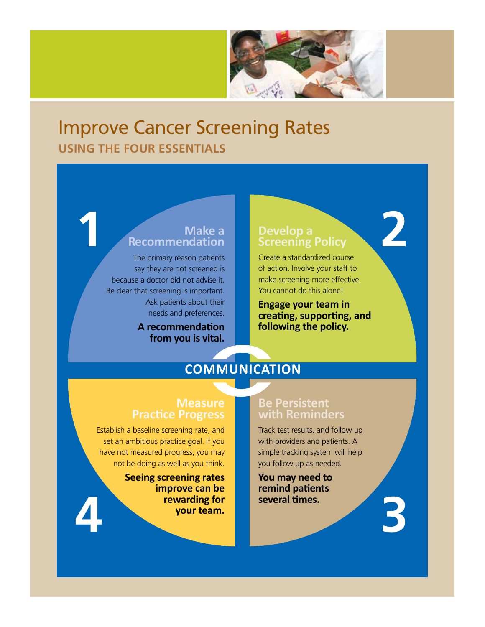

# Improve Cancer Screening Rates **using the four Essentials**

# **Make a Recommendation 1 1 Develop a**<br>**1 Develop a**<br>**1 Develop a**<br>**1 Develop a**<br>**1 Develop a**

The primary reason patients say they are not screened is because a doctor did not advise it. Be clear that screening is important. Ask patients about their needs and preferences.

> **A recommendation from you is vital.**

# **Screening Policy**

**2**

**3**

Create a standardized course of action. Involve your staff to make screening more effective. You cannot do this alone!

**Engage your team in creating, supporting, and following the policy.**

# **Communication**

### **Measure Practice Progress**

Establish a baseline screening rate, and set an ambitious practice goal. If you have not measured progress, you may not be doing as well as you think.

**Seeing screening rates improve can be rewarding for your team. several times. 4**

### **Be Persistent with Reminders**

Track test results, and follow up with providers and patients. A simple tracking system will help you follow up as needed.

**You may need to remind patients**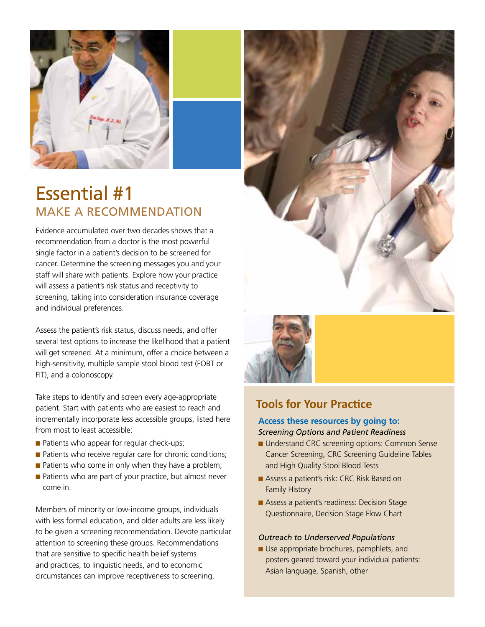

# Essential #1 Make a Recommendation

Evidence accumulated over two decades shows that a recommendation from a doctor is the most powerful single factor in a patient's decision to be screened for cancer. Determine the screening messages you and your staff will share with patients. Explore how your practice will assess a patient's risk status and receptivity to screening, taking into consideration insurance coverage and individual preferences.

Assess the patient's risk status, discuss needs, and offer several test options to increase the likelihood that a patient will get screened. At a minimum, offer a choice between a high-sensitivity, multiple sample stool blood test (FOBT or FIT), and a colonoscopy.

Take steps to identify and screen every age-appropriate patient. Start with patients who are easiest to reach and incrementally incorporate less accessible groups, listed here from most to least accessible:

- $\blacksquare$  Patients who appear for regular check-ups;
- $\blacksquare$  Patients who receive regular care for chronic conditions;
- $\blacksquare$  Patients who come in only when they have a problem;
- $\blacksquare$  Patients who are part of your practice, but almost never come in.

Members of minority or low-income groups, individuals with less formal education, and older adults are less likely to be given a screening recommendation. Devote particular attention to screening these groups. Recommendations that are sensitive to specific health belief systems and practices, to linguistic needs, and to economic circumstances can improve receptiveness to screening.





### **Tools for Your Practice**

### **Access these resources by going to:**

#### *Screening Options and Patient Readiness*

- Understand CRC screening options: Common Sense Cancer Screening, CRC Screening Guideline Tables and High Quality Stool Blood Tests
- Assess a patient's risk: CRC Risk Based on Family History
- $\blacksquare$  Assess a patient's readiness: Decision Stage Questionnaire, Decision Stage Flow Chart

#### *Outreach to Underserved Populations*

**D** Use appropriate brochures, pamphlets, and posters geared toward your individual patients: Asian language, Spanish, other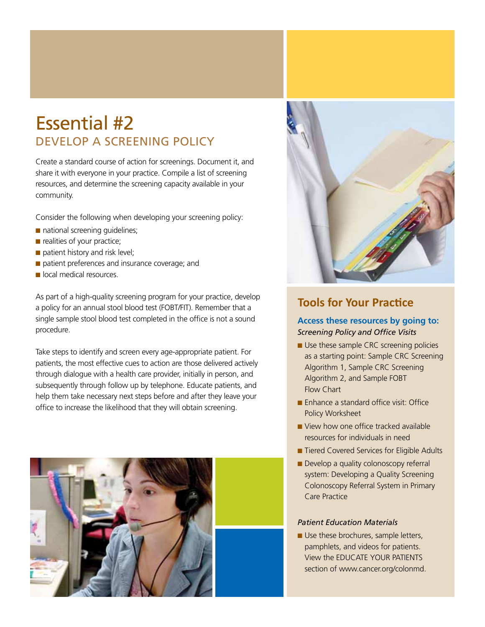# Essential #2 Develop a Screening Policy

Create a standard course of action for screenings. Document it, and share it with everyone in your practice. Compile a list of screening resources, and determine the screening capacity available in your community.

Consider the following when developing your screening policy:

- $\blacksquare$  national screening guidelines;
- $\blacksquare$  realities of your practice;
- $\blacksquare$  patient history and risk level;
- $\blacksquare$  patient preferences and insurance coverage; and
- $\blacksquare$  local medical resources.

As part of a high-quality screening program for your practice, develop a policy for an annual stool blood test (FOBT/FIT). Remember that a single sample stool blood test completed in the office is not a sound procedure.

Take steps to identify and screen every age-appropriate patient. For patients, the most effective cues to action are those delivered actively through dialogue with a health care provider, initially in person, and subsequently through follow up by telephone. Educate patients, and help them take necessary next steps before and after they leave your office to increase the likelihood that they will obtain screening.





### **Tools for Your Practice**

### **Access these resources by going to:** *Screening Policy and Office Visits*

- $\blacksquare$  Use these sample CRC screening policies as a starting point: Sample CRC Screening Algorithm 1, Sample CRC Screening Algorithm 2, and Sample FOBT Flow Chart
- $\blacksquare$  Enhance a standard office visit: Office Policy Worksheet
- $\blacksquare$  View how one office tracked available resources for individuals in need
- Tiered Covered Services for Eligible Adults
- $\blacksquare$  Develop a quality colonoscopy referral system: Developing a Quality Screening Colonoscopy Referral System in Primary Care Practice

#### *Patient Education Materials*

 $\blacksquare$  Use these brochures, sample letters, pamphlets, and videos for patients. View the EDUCATE YOUR PATIENTS section of www.cancer.org/colonmd.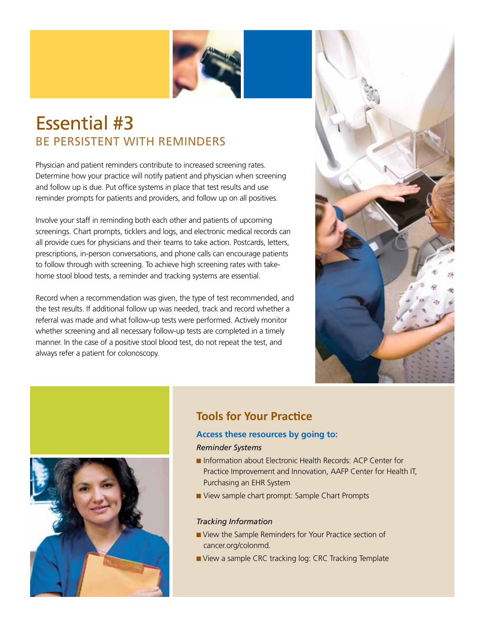

# Essential #3 Be Persistent with Reminders

Physician and patient reminders contribute to increased screening rates. Determine how your practice will notify patient and physician when screening and follow up is due. Put office systems in place that test results and use reminder prompts for patients and providers, and follow up on all positives.

Involve your staff in reminding both each other and patients of upcoming screenings. Chart prompts, ticklers and logs, and electronic medical records can all provide cues for physicians and their teams to take action. Postcards, letters, prescriptions, in-person conversations, and phone calls can encourage patients to follow through with screening. To achieve high screening rates with takehome stool blood tests, a reminder and tracking systems are essential.

Record when a recommendation was given, the type of test recommended, and the test results. If additional follow up was needed, track and record whether a referral was made and what follow-up tests were performed. Actively monitor whether screening and all necessary follow-up tests are completed in a timely manner. In the case of a positive stool blood test, do not repeat the test, and always refer a patient for colonoscopy.





# **Tools for Your Practice**

### **Access these resources by going to:** *Reminder Systems*

- Information about Electronic Health Records: ACP Center for Practice Improvement and Innovation, AAFP Center for Health IT, Purchasing an EHR System
- View sample chart prompt: Sample Chart Prompts

### *Tracking Information*

- n View the Sample Reminders for Your Practice section of cancer.org/colonmd.
- View a sample CRC tracking log: CRC Tracking Template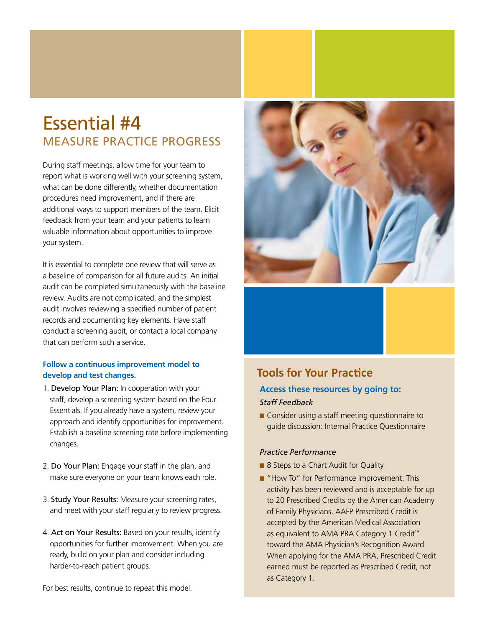# Essential #4 Measure Practice Progress

During staff meetings, allow time for your team to report what is working well with your screening system, what can be done differently, whether documentation procedures need improvement, and if there are additional ways to support members of the team. Elicit feedback from your team and your patients to learn valuable information about opportunities to improve your system.

It is essential to complete one review that will serve as a baseline of comparison for all future audits. An initial audit can be completed simultaneously with the baseline review. Audits are not complicated, and the simplest audit involves reviewing a specified number of patient records and documenting key elements. Have staff conduct a screening audit, or contact a local company that can perform such a service.

### **Follow a continuous improvement model to develop and test changes.**

- 1. Develop Your Plan: In cooperation with your staff, develop a screening system based on the Four Essentials. If you already have a system, review your approach and identify opportunities for improvement. Establish a baseline screening rate before implementing changes.
- 2. Do Your Plan: Engage your staff in the plan, and make sure everyone on your team knows each role.
- 3. Study Your Results: Measure your screening rates, and meet with your staff regularly to review progress.
- 4. Act on Your Results: Based on your results, identify opportunities for further improvement. When you are ready, build on your plan and consider including harder-to-reach patient groups.



# **Tools for Your Practice**

### **Access these resources by going to:** *Staff Feedback*

 $\blacksquare$  Consider using a staff meeting questionnaire to guide discussion: Internal Practice Questionnaire

### *Practice Performance*

- 8 Steps to a Chart Audit for Quality
- "How To" for Performance Improvement: This activity has been reviewed and is acceptable for up to 20 Prescribed Credits by the American Academy of Family Physicians. AAFP Prescribed Credit is accepted by the American Medical Association as equivalent to AMA PRA Category 1 Credit™ toward the AMA Physician's Recognition Award. When applying for the AMA PRA, Prescribed Credit earned must be reported as Prescribed Credit, not as Category 1.

For best results, continue to repeat this model.